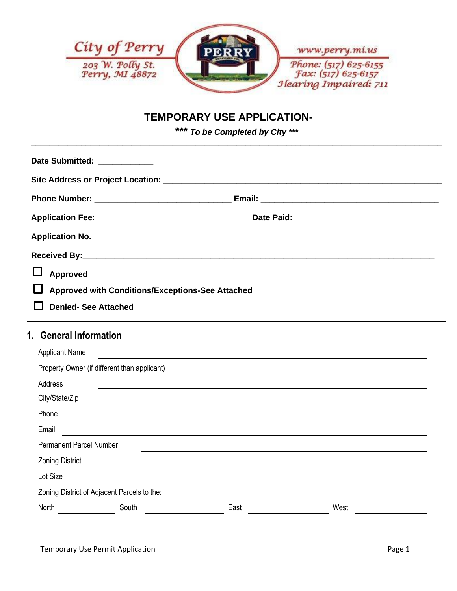

# **TEMPORARY USE APPLICATION-**

| *** To be Completed by City ***                  |                                  |  |
|--------------------------------------------------|----------------------------------|--|
| Date Submitted: ____________                     |                                  |  |
|                                                  |                                  |  |
|                                                  |                                  |  |
| Application Fee: ________________                | Date Paid: _____________________ |  |
| Application No.                                  |                                  |  |
|                                                  |                                  |  |
| Approved                                         |                                  |  |
| Approved with Conditions/Exceptions-See Attached |                                  |  |
| <b>Denied-See Attached</b>                       |                                  |  |

## **1. General Information**

| <b>Applicant Name</b>                        |       |      |      |  |
|----------------------------------------------|-------|------|------|--|
| Property Owner (if different than applicant) |       |      |      |  |
| Address                                      |       |      |      |  |
| City/State/Zip                               |       |      |      |  |
| Phone                                        |       |      |      |  |
| Email                                        |       |      |      |  |
| <b>Permanent Parcel Number</b>               |       |      |      |  |
| <b>Zoning District</b>                       |       |      |      |  |
| Lot Size                                     |       |      |      |  |
| Zoning District of Adjacent Parcels to the:  |       |      |      |  |
| North                                        | South | East | West |  |
|                                              |       |      |      |  |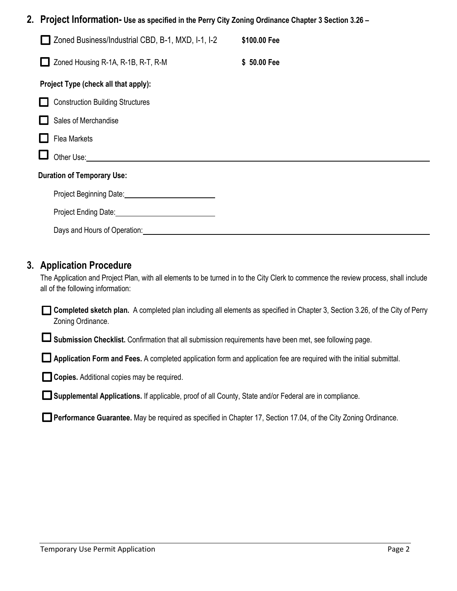#### **2. Project Information- Use as specified in the Perry City Zoning Ordinance Chapter 3 Section 3.26 –**

| Zoned Business/Industrial CBD, B-1, MXD, I-1, I-2                  | \$100.00 Fee |
|--------------------------------------------------------------------|--------------|
| Zoned Housing R-1A, R-1B, R-T, R-M                                 | \$50.00 Fee  |
| Project Type (check all that apply):                               |              |
| <b>Construction Building Structures</b>                            |              |
| Sales of Merchandise                                               |              |
| <b>Flea Markets</b>                                                |              |
| Other Use:                                                         |              |
| <b>Duration of Temporary Use:</b>                                  |              |
| Project Beginning Date: National Action of Project Beginning Date: |              |
| Project Ending Date: No. 1996                                      |              |
| Days and Hours of Operation:                                       |              |

#### **3. Application Procedure**

The Application and Project Plan, with all elements to be turned in to the City Clerk to commence the review process, shall include all of the following information:

**Completed sketch plan.** A completed plan including all elements as specified in Chapter 3, Section 3.26, of the City of Perry Zoning Ordinance.

**Submission Checklist.** Confirmation that all submission requirements have been met, see following page.

**Application Form and Fees.** A completed application form and application fee are required with the initial submittal.

**Copies.** Additional copies may be required.

**Supplemental Applications.** If applicable, proof of all County, State and/or Federal are in compliance.

**Performance Guarantee.** May be required as specified in Chapter 17, Section 17.04, of the City Zoning Ordinance.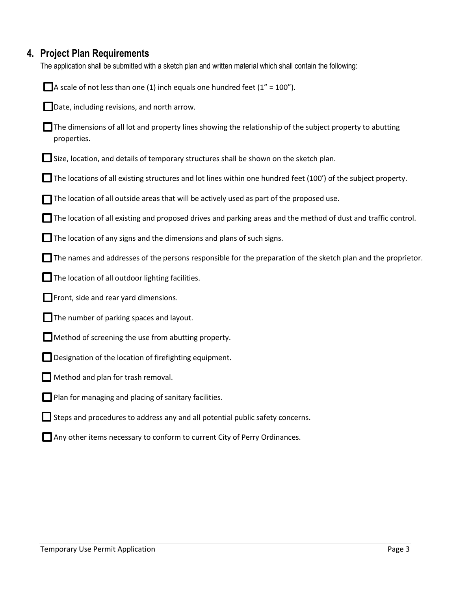# **4. Project Plan Requirements**

The application shall be submitted with a sketch plan and written material which shall contain the following:

| A scale of not less than one (1) inch equals one hundred feet ( $1'' = 100''$ ).                                                |
|---------------------------------------------------------------------------------------------------------------------------------|
| Date, including revisions, and north arrow.                                                                                     |
| $\Box$ The dimensions of all lot and property lines showing the relationship of the subject property to abutting<br>properties. |
| $\Box$ Size, location, and details of temporary structures shall be shown on the sketch plan.                                   |
| The locations of all existing structures and lot lines within one hundred feet (100') of the subject property.                  |
| The location of all outside areas that will be actively used as part of the proposed use.                                       |
| $\blacksquare$ The location of all existing and proposed drives and parking areas and the method of dust and traffic control.   |
| $\blacksquare$ The location of any signs and the dimensions and plans of such signs.                                            |
| $\Box$ The names and addresses of the persons responsible for the preparation of the sketch plan and the proprietor.            |
| The location of all outdoor lighting facilities.                                                                                |
| Front, side and rear yard dimensions.                                                                                           |
| $\Box$ The number of parking spaces and layout.                                                                                 |
| Method of screening the use from abutting property.                                                                             |
| Designation of the location of firefighting equipment.                                                                          |
| Method and plan for trash removal.                                                                                              |
| $\Box$ Plan for managing and placing of sanitary facilities.                                                                    |
| $\Box$ Steps and procedures to address any and all potential public safety concerns.                                            |
| Any other items necessary to conform to current City of Perry Ordinances.                                                       |